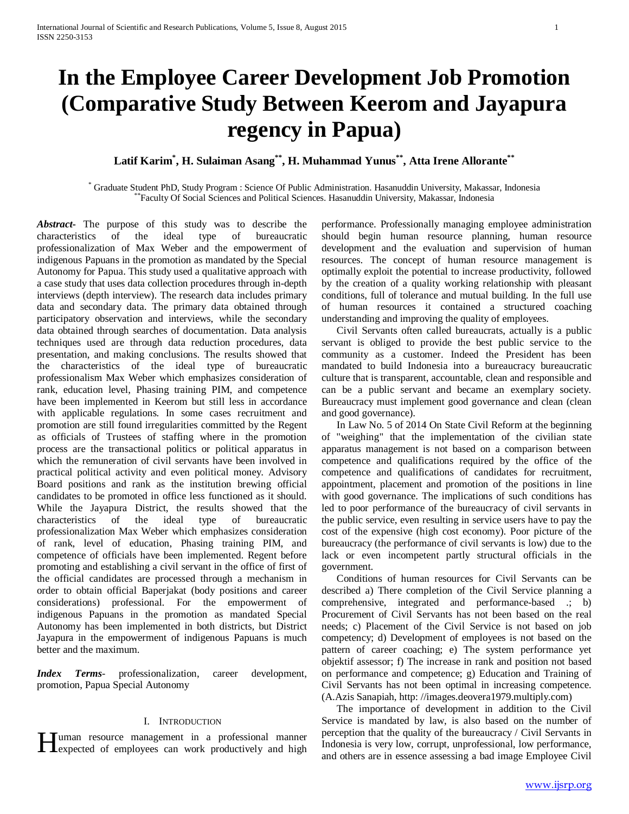# **In the Employee Career Development Job Promotion (Comparative Study Between Keerom and Jayapura regency in Papua)**

**Latif Karim\* , H. Sulaiman Asang\*\*, H. Muhammad Yunus\*\*, Atta Irene Allorante\*\***

\* Graduate Student PhD, Study Program : Science Of Public Administration. Hasanuddin University, Makassar, Indonesia \*\*Faculty Of Social Sciences and Political Sciences. Hasanuddin University, Makassar, Indonesia

*Abstract***-** The purpose of this study was to describe the characteristics of the ideal type of bureaucratic professionalization of Max Weber and the empowerment of indigenous Papuans in the promotion as mandated by the Special Autonomy for Papua. This study used a qualitative approach with a case study that uses data collection procedures through in-depth interviews (depth interview). The research data includes primary data and secondary data. The primary data obtained through participatory observation and interviews, while the secondary data obtained through searches of documentation. Data analysis techniques used are through data reduction procedures, data presentation, and making conclusions. The results showed that the characteristics of the ideal type of bureaucratic professionalism Max Weber which emphasizes consideration of rank, education level, Phasing training PIM, and competence have been implemented in Keerom but still less in accordance with applicable regulations. In some cases recruitment and promotion are still found irregularities committed by the Regent as officials of Trustees of staffing where in the promotion process are the transactional politics or political apparatus in which the remuneration of civil servants have been involved in practical political activity and even political money. Advisory Board positions and rank as the institution brewing official candidates to be promoted in office less functioned as it should. While the Jayapura District, the results showed that the characteristics of the ideal type of bureaucratic professionalization Max Weber which emphasizes consideration of rank, level of education, Phasing training PIM, and competence of officials have been implemented. Regent before promoting and establishing a civil servant in the office of first of the official candidates are processed through a mechanism in order to obtain official Baperjakat (body positions and career considerations) professional. For the empowerment of indigenous Papuans in the promotion as mandated Special Autonomy has been implemented in both districts, but District Jayapura in the empowerment of indigenous Papuans is much better and the maximum.

*Index Terms*- professionalization, career development, promotion, Papua Special Autonomy

#### I. INTRODUCTION

Tuman resource management in a professional manner

performance. Professionally managing employee administration should begin human resource planning, human resource development and the evaluation and supervision of human resources. The concept of human resource management is optimally exploit the potential to increase productivity, followed by the creation of a quality working relationship with pleasant conditions, full of tolerance and mutual building. In the full use of human resources it contained a structured coaching understanding and improving the quality of employees.

 Civil Servants often called bureaucrats, actually is a public servant is obliged to provide the best public service to the community as a customer. Indeed the President has been mandated to build Indonesia into a bureaucracy bureaucratic culture that is transparent, accountable, clean and responsible and can be a public servant and became an exemplary society. Bureaucracy must implement good governance and clean (clean and good governance).

 In Law No. 5 of 2014 On State Civil Reform at the beginning of "weighing" that the implementation of the civilian state apparatus management is not based on a comparison between competence and qualifications required by the office of the competence and qualifications of candidates for recruitment, appointment, placement and promotion of the positions in line with good governance. The implications of such conditions has led to poor performance of the bureaucracy of civil servants in the public service, even resulting in service users have to pay the cost of the expensive (high cost economy). Poor picture of the bureaucracy (the performance of civil servants is low) due to the lack or even incompetent partly structural officials in the government.

 Conditions of human resources for Civil Servants can be described a) There completion of the Civil Service planning a comprehensive, integrated and performance-based .; b) Procurement of Civil Servants has not been based on the real needs; c) Placement of the Civil Service is not based on job competency; d) Development of employees is not based on the pattern of career coaching; e) The system performance yet objektif assessor; f) The increase in rank and position not based on performance and competence; g) Education and Training of Civil Servants has not been optimal in increasing competence. (A.Azis Sanapiah, http: //images.deovera1979.multiply.com)

I uman resource management in a professional manner<br>
Indonesia is very low, corrupt, unprofessional, low performance,<br>
and others are in essence assessing a bad image Employee Civil The importance of development in addition to the Civil Service is mandated by law, is also based on the number of perception that the quality of the bureaucracy / Civil Servants in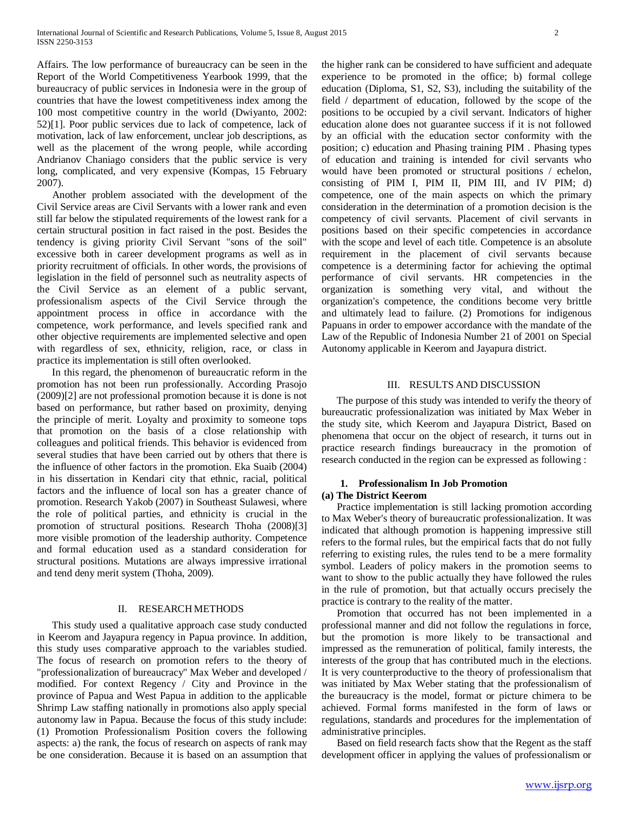Affairs. The low performance of bureaucracy can be seen in the Report of the World Competitiveness Yearbook 1999, that the bureaucracy of public services in Indonesia were in the group of countries that have the lowest competitiveness index among the 100 most competitive country in the world (Dwiyanto, 2002: 52)[1]. Poor public services due to lack of competence, lack of motivation, lack of law enforcement, unclear job descriptions, as well as the placement of the wrong people, while according Andrianov Chaniago considers that the public service is very long, complicated, and very expensive (Kompas, 15 February 2007).

 Another problem associated with the development of the Civil Service areas are Civil Servants with a lower rank and even still far below the stipulated requirements of the lowest rank for a certain structural position in fact raised in the post. Besides the tendency is giving priority Civil Servant "sons of the soil" excessive both in career development programs as well as in priority recruitment of officials. In other words, the provisions of legislation in the field of personnel such as neutrality aspects of the Civil Service as an element of a public servant, professionalism aspects of the Civil Service through the appointment process in office in accordance with the competence, work performance, and levels specified rank and other objective requirements are implemented selective and open with regardless of sex, ethnicity, religion, race, or class in practice its implementation is still often overlooked.

 In this regard, the phenomenon of bureaucratic reform in the promotion has not been run professionally. According Prasojo (2009)[2] are not professional promotion because it is done is not based on performance, but rather based on proximity, denying the principle of merit. Loyalty and proximity to someone tops that promotion on the basis of a close relationship with colleagues and political friends. This behavior is evidenced from several studies that have been carried out by others that there is the influence of other factors in the promotion. Eka Suaib (2004) in his dissertation in Kendari city that ethnic, racial, political factors and the influence of local son has a greater chance of promotion. Research Yakob (2007) in Southeast Sulawesi, where the role of political parties, and ethnicity is crucial in the promotion of structural positions. Research Thoha (2008)[3] more visible promotion of the leadership authority. Competence and formal education used as a standard consideration for structural positions. Mutations are always impressive irrational and tend deny merit system (Thoha, 2009).

# II. RESEARCH METHODS

 This study used a qualitative approach case study conducted in Keerom and Jayapura regency in Papua province. In addition, this study uses comparative approach to the variables studied. The focus of research on promotion refers to the theory of "professionalization of bureaucracy" Max Weber and developed / modified. For context Regency / City and Province in the province of Papua and West Papua in addition to the applicable Shrimp Law staffing nationally in promotions also apply special autonomy law in Papua. Because the focus of this study include: (1) Promotion Professionalism Position covers the following aspects: a) the rank, the focus of research on aspects of rank may be one consideration. Because it is based on an assumption that the higher rank can be considered to have sufficient and adequate experience to be promoted in the office; b) formal college education (Diploma, S1, S2, S3), including the suitability of the field / department of education, followed by the scope of the positions to be occupied by a civil servant. Indicators of higher education alone does not guarantee success if it is not followed by an official with the education sector conformity with the position; c) education and Phasing training PIM . Phasing types of education and training is intended for civil servants who would have been promoted or structural positions / echelon, consisting of PIM I, PIM II, PIM III, and IV PIM; d) competence, one of the main aspects on which the primary consideration in the determination of a promotion decision is the competency of civil servants. Placement of civil servants in positions based on their specific competencies in accordance with the scope and level of each title. Competence is an absolute requirement in the placement of civil servants because competence is a determining factor for achieving the optimal performance of civil servants. HR competencies in the organization is something very vital, and without the organization's competence, the conditions become very brittle and ultimately lead to failure. (2) Promotions for indigenous Papuans in order to empower accordance with the mandate of the Law of the Republic of Indonesia Number 21 of 2001 on Special Autonomy applicable in Keerom and Jayapura district.

# III. RESULTS AND DISCUSSION

 The purpose of this study was intended to verify the theory of bureaucratic professionalization was initiated by Max Weber in the study site, which Keerom and Jayapura District, Based on phenomena that occur on the object of research, it turns out in practice research findings bureaucracy in the promotion of research conducted in the region can be expressed as following :

#### **1. Professionalism In Job Promotion (a) The District Keerom**

 Practice implementation is still lacking promotion according to Max Weber's theory of bureaucratic professionalization. It was indicated that although promotion is happening impressive still refers to the formal rules, but the empirical facts that do not fully referring to existing rules, the rules tend to be a mere formality symbol. Leaders of policy makers in the promotion seems to want to show to the public actually they have followed the rules in the rule of promotion, but that actually occurs precisely the practice is contrary to the reality of the matter.

 Promotion that occurred has not been implemented in a professional manner and did not follow the regulations in force, but the promotion is more likely to be transactional and impressed as the remuneration of political, family interests, the interests of the group that has contributed much in the elections. It is very counterproductive to the theory of professionalism that was initiated by Max Weber stating that the professionalism of the bureaucracy is the model, format or picture chimera to be achieved. Formal forms manifested in the form of laws or regulations, standards and procedures for the implementation of administrative principles.

 Based on field research facts show that the Regent as the staff development officer in applying the values of professionalism or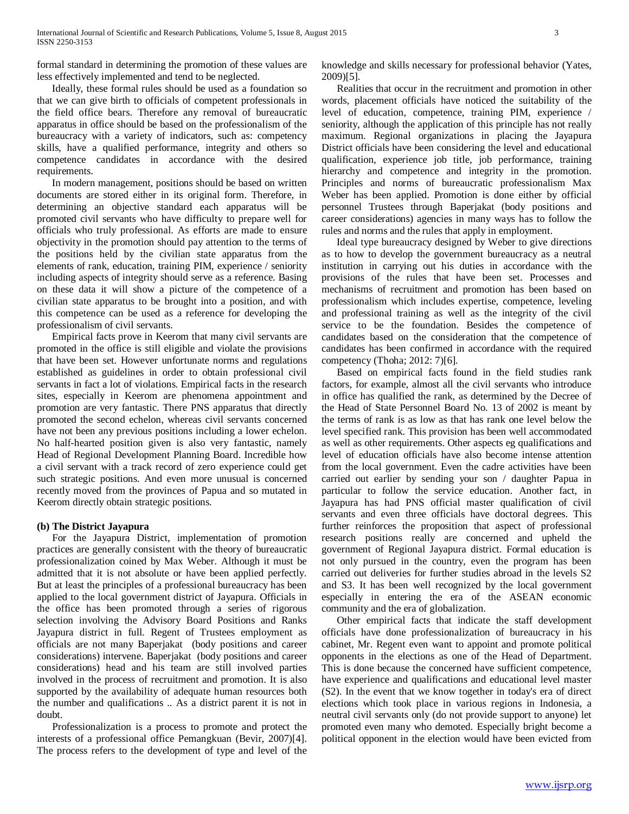formal standard in determining the promotion of these values are less effectively implemented and tend to be neglected.

 Ideally, these formal rules should be used as a foundation so that we can give birth to officials of competent professionals in the field office bears. Therefore any removal of bureaucratic apparatus in office should be based on the professionalism of the bureaucracy with a variety of indicators, such as: competency skills, have a qualified performance, integrity and others so competence candidates in accordance with the desired requirements.

 In modern management, positions should be based on written documents are stored either in its original form. Therefore, in determining an objective standard each apparatus will be promoted civil servants who have difficulty to prepare well for officials who truly professional. As efforts are made to ensure objectivity in the promotion should pay attention to the terms of the positions held by the civilian state apparatus from the elements of rank, education, training PIM, experience / seniority including aspects of integrity should serve as a reference. Basing on these data it will show a picture of the competence of a civilian state apparatus to be brought into a position, and with this competence can be used as a reference for developing the professionalism of civil servants.

 Empirical facts prove in Keerom that many civil servants are promoted in the office is still eligible and violate the provisions that have been set. However unfortunate norms and regulations established as guidelines in order to obtain professional civil servants in fact a lot of violations. Empirical facts in the research sites, especially in Keerom are phenomena appointment and promotion are very fantastic. There PNS apparatus that directly promoted the second echelon, whereas civil servants concerned have not been any previous positions including a lower echelon. No half-hearted position given is also very fantastic, namely Head of Regional Development Planning Board. Incredible how a civil servant with a track record of zero experience could get such strategic positions. And even more unusual is concerned recently moved from the provinces of Papua and so mutated in Keerom directly obtain strategic positions.

# **(b) The District Jayapura**

 For the Jayapura District, implementation of promotion practices are generally consistent with the theory of bureaucratic professionalization coined by Max Weber. Although it must be admitted that it is not absolute or have been applied perfectly. But at least the principles of a professional bureaucracy has been applied to the local government district of Jayapura. Officials in the office has been promoted through a series of rigorous selection involving the Advisory Board Positions and Ranks Jayapura district in full. Regent of Trustees employment as officials are not many Baperjakat (body positions and career considerations) intervene. Baperjakat (body positions and career considerations) head and his team are still involved parties involved in the process of recruitment and promotion. It is also supported by the availability of adequate human resources both the number and qualifications .. As a district parent it is not in doubt.

 Professionalization is a process to promote and protect the interests of a professional office Pemangkuan (Bevir, 2007)[4]. The process refers to the development of type and level of the knowledge and skills necessary for professional behavior (Yates, 2009)[5].

 Realities that occur in the recruitment and promotion in other words, placement officials have noticed the suitability of the level of education, competence, training PIM, experience / seniority, although the application of this principle has not really maximum. Regional organizations in placing the Jayapura District officials have been considering the level and educational qualification, experience job title, job performance, training hierarchy and competence and integrity in the promotion. Principles and norms of bureaucratic professionalism Max Weber has been applied. Promotion is done either by official personnel Trustees through Baperjakat (body positions and career considerations) agencies in many ways has to follow the rules and norms and the rules that apply in employment.

 Ideal type bureaucracy designed by Weber to give directions as to how to develop the government bureaucracy as a neutral institution in carrying out his duties in accordance with the provisions of the rules that have been set. Processes and mechanisms of recruitment and promotion has been based on professionalism which includes expertise, competence, leveling and professional training as well as the integrity of the civil service to be the foundation. Besides the competence of candidates based on the consideration that the competence of candidates has been confirmed in accordance with the required competency (Thoha; 2012: 7)[6].

 Based on empirical facts found in the field studies rank factors, for example, almost all the civil servants who introduce in office has qualified the rank, as determined by the Decree of the Head of State Personnel Board No. 13 of 2002 is meant by the terms of rank is as low as that has rank one level below the level specified rank. This provision has been well accommodated as well as other requirements. Other aspects eg qualifications and level of education officials have also become intense attention from the local government. Even the cadre activities have been carried out earlier by sending your son / daughter Papua in particular to follow the service education. Another fact, in Jayapura has had PNS official master qualification of civil servants and even three officials have doctoral degrees. This further reinforces the proposition that aspect of professional research positions really are concerned and upheld the government of Regional Jayapura district. Formal education is not only pursued in the country, even the program has been carried out deliveries for further studies abroad in the levels S2 and S3. It has been well recognized by the local government especially in entering the era of the ASEAN economic community and the era of globalization.

 Other empirical facts that indicate the staff development officials have done professionalization of bureaucracy in his cabinet, Mr. Regent even want to appoint and promote political opponents in the elections as one of the Head of Department. This is done because the concerned have sufficient competence, have experience and qualifications and educational level master (S2). In the event that we know together in today's era of direct elections which took place in various regions in Indonesia, a neutral civil servants only (do not provide support to anyone) let promoted even many who demoted. Especially bright become a political opponent in the election would have been evicted from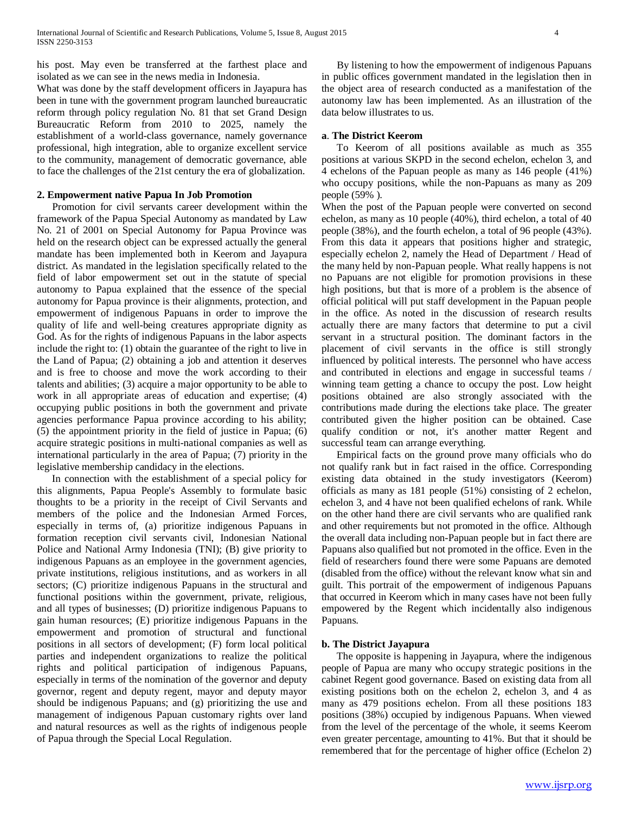his post. May even be transferred at the farthest place and isolated as we can see in the news media in Indonesia.

What was done by the staff development officers in Jayapura has been in tune with the government program launched bureaucratic reform through policy regulation No. 81 that set Grand Design Bureaucratic Reform from 2010 to 2025, namely the establishment of a world-class governance, namely governance professional, high integration, able to organize excellent service to the community, management of democratic governance, able to face the challenges of the 21st century the era of globalization.

#### **2. Empowerment native Papua In Job Promotion**

 Promotion for civil servants career development within the framework of the Papua Special Autonomy as mandated by Law No. 21 of 2001 on Special Autonomy for Papua Province was held on the research object can be expressed actually the general mandate has been implemented both in Keerom and Jayapura district. As mandated in the legislation specifically related to the field of labor empowerment set out in the statute of special autonomy to Papua explained that the essence of the special autonomy for Papua province is their alignments, protection, and empowerment of indigenous Papuans in order to improve the quality of life and well-being creatures appropriate dignity as God. As for the rights of indigenous Papuans in the labor aspects include the right to: (1) obtain the guarantee of the right to live in the Land of Papua; (2) obtaining a job and attention it deserves and is free to choose and move the work according to their talents and abilities; (3) acquire a major opportunity to be able to work in all appropriate areas of education and expertise; (4) occupying public positions in both the government and private agencies performance Papua province according to his ability; (5) the appointment priority in the field of justice in Papua; (6) acquire strategic positions in multi-national companies as well as international particularly in the area of Papua; (7) priority in the legislative membership candidacy in the elections.

 In connection with the establishment of a special policy for this alignments, Papua People's Assembly to formulate basic thoughts to be a priority in the receipt of Civil Servants and members of the police and the Indonesian Armed Forces, especially in terms of, (a) prioritize indigenous Papuans in formation reception civil servants civil, Indonesian National Police and National Army Indonesia (TNI); (B) give priority to indigenous Papuans as an employee in the government agencies, private institutions, religious institutions, and as workers in all sectors; (C) prioritize indigenous Papuans in the structural and functional positions within the government, private, religious, and all types of businesses; (D) prioritize indigenous Papuans to gain human resources; (E) prioritize indigenous Papuans in the empowerment and promotion of structural and functional positions in all sectors of development; (F) form local political parties and independent organizations to realize the political rights and political participation of indigenous Papuans, especially in terms of the nomination of the governor and deputy governor, regent and deputy regent, mayor and deputy mayor should be indigenous Papuans; and (g) prioritizing the use and management of indigenous Papuan customary rights over land and natural resources as well as the rights of indigenous people of Papua through the Special Local Regulation.

 By listening to how the empowerment of indigenous Papuans in public offices government mandated in the legislation then in the object area of research conducted as a manifestation of the autonomy law has been implemented. As an illustration of the data below illustrates to us.

#### **a**. **The District Keerom**

 To Keerom of all positions available as much as 355 positions at various SKPD in the second echelon, echelon 3, and 4 echelons of the Papuan people as many as 146 people (41%) who occupy positions, while the non-Papuans as many as 209 people (59% ).

When the post of the Papuan people were converted on second echelon, as many as 10 people (40%), third echelon, a total of 40 people (38%), and the fourth echelon, a total of 96 people (43%). From this data it appears that positions higher and strategic, especially echelon 2, namely the Head of Department / Head of the many held by non-Papuan people. What really happens is not no Papuans are not eligible for promotion provisions in these high positions, but that is more of a problem is the absence of official political will put staff development in the Papuan people in the office. As noted in the discussion of research results actually there are many factors that determine to put a civil servant in a structural position. The dominant factors in the placement of civil servants in the office is still strongly influenced by political interests. The personnel who have access and contributed in elections and engage in successful teams / winning team getting a chance to occupy the post. Low height positions obtained are also strongly associated with the contributions made during the elections take place. The greater contributed given the higher position can be obtained. Case qualify condition or not, it's another matter Regent and successful team can arrange everything.

 Empirical facts on the ground prove many officials who do not qualify rank but in fact raised in the office. Corresponding existing data obtained in the study investigators (Keerom) officials as many as 181 people (51%) consisting of 2 echelon, echelon 3, and 4 have not been qualified echelons of rank. While on the other hand there are civil servants who are qualified rank and other requirements but not promoted in the office. Although the overall data including non-Papuan people but in fact there are Papuans also qualified but not promoted in the office. Even in the field of researchers found there were some Papuans are demoted (disabled from the office) without the relevant know what sin and guilt. This portrait of the empowerment of indigenous Papuans that occurred in Keerom which in many cases have not been fully empowered by the Regent which incidentally also indigenous Papuans.

## **b. The District Jayapura**

 The opposite is happening in Jayapura, where the indigenous people of Papua are many who occupy strategic positions in the cabinet Regent good governance. Based on existing data from all existing positions both on the echelon 2, echelon 3, and 4 as many as 479 positions echelon. From all these positions 183 positions (38%) occupied by indigenous Papuans. When viewed from the level of the percentage of the whole, it seems Keerom even greater percentage, amounting to 41%. But that it should be remembered that for the percentage of higher office (Echelon 2)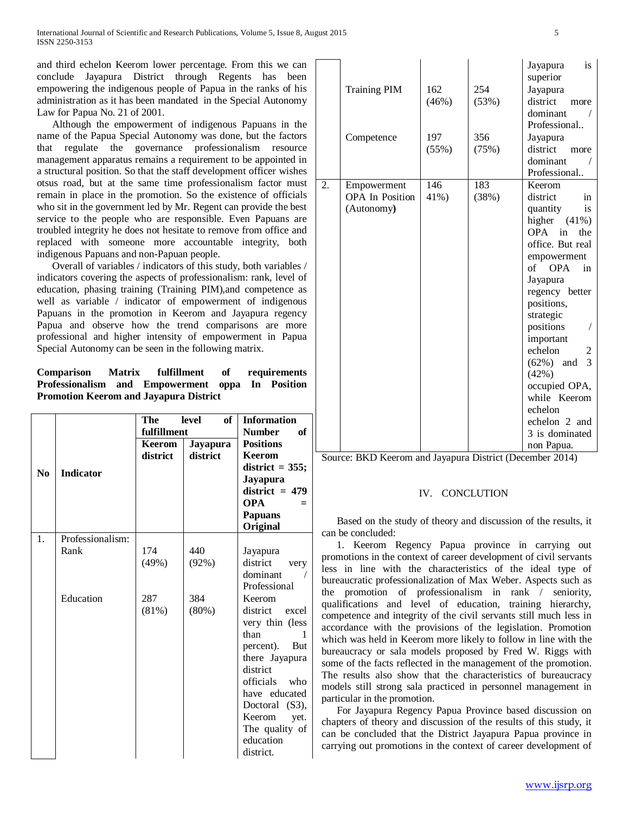International Journal of Scientific and Research Publications, Volume 5, Issue 8, August 2015 5 ISSN 2250-3153

and third echelon Keerom lower percentage. From this we can conclude Jayapura District through Regents has been empowering the indigenous people of Papua in the ranks of his administration as it has been mandated in the Special Autonomy Law for Papua No. 21 of 2001.

 Although the empowerment of indigenous Papuans in the name of the Papua Special Autonomy was done, but the factors that regulate the governance professionalism resource management apparatus remains a requirement to be appointed in a structural position. So that the staff development officer wishes otsus road, but at the same time professionalism factor must remain in place in the promotion. So the existence of officials who sit in the government led by Mr. Regent can provide the best service to the people who are responsible. Even Papuans are troubled integrity he does not hesitate to remove from office and replaced with someone more accountable integrity, both indigenous Papuans and non-Papuan people.

 Overall of variables / indicators of this study, both variables / indicators covering the aspects of professionalism: rank, level of education, phasing training (Training PIM),and competence as well as variable / indicator of empowerment of indigenous Papuans in the promotion in Keerom and Jayapura regency Papua and observe how the trend comparisons are more professional and higher intensity of empowerment in Papua Special Autonomy can be seen in the following matrix.

# **Comparison Matrix fulfillment of requirements Professionalism and Empowerment oppa In Position Promotion Keerom and Jayapura District**

| N <sub>0</sub> | <b>Indicator</b> | <b>The</b><br>fulfillment<br>Keerom<br>district | of<br>level<br>Jayapura<br>district | <b>Information</b><br><b>Number</b><br>of<br><b>Positions</b><br><b>Keerom</b><br>district $=$ 355;<br><b>Jayapura</b><br>district $= 479$<br><b>OPA</b><br><b>Papuans</b><br>Original |
|----------------|------------------|-------------------------------------------------|-------------------------------------|----------------------------------------------------------------------------------------------------------------------------------------------------------------------------------------|
| 1.             | Professionalism: |                                                 |                                     |                                                                                                                                                                                        |
|                | Rank             | 174                                             | 440                                 | Jayapura                                                                                                                                                                               |
|                |                  | (49%)                                           | (92%)                               | district<br>very                                                                                                                                                                       |
|                |                  |                                                 |                                     | dominant                                                                                                                                                                               |
|                |                  |                                                 |                                     | Professional                                                                                                                                                                           |
|                | Education        | 287                                             | 384                                 | Keerom                                                                                                                                                                                 |
|                |                  | (81%)                                           | $(80\%)$                            | district excel                                                                                                                                                                         |
|                |                  |                                                 |                                     | very thin (less                                                                                                                                                                        |
|                |                  |                                                 |                                     | than<br>1                                                                                                                                                                              |
|                |                  |                                                 |                                     | percent).<br>But                                                                                                                                                                       |
|                |                  |                                                 |                                     | there Jayapura                                                                                                                                                                         |
|                |                  |                                                 |                                     | district                                                                                                                                                                               |
|                |                  |                                                 |                                     | officials who                                                                                                                                                                          |
|                |                  |                                                 |                                     | have educated                                                                                                                                                                          |
|                |                  |                                                 |                                     | Doctoral (S3),                                                                                                                                                                         |
|                |                  |                                                 |                                     | Keerom<br>yet.                                                                                                                                                                         |
|                |                  |                                                 |                                     | The quality of                                                                                                                                                                         |
|                |                  |                                                 |                                     | education                                                                                                                                                                              |
|                |                  |                                                 |                                     | district.                                                                                                                                                                              |

|    | <b>Training PIM</b>                                 | 162<br>(46%) | 254<br>(53%) | is<br>Jayapura<br>superior<br>Jayapura<br>district<br>more<br>dominant<br>$\sqrt{2}$<br>Professional                                                                                                                                                                                                                                                                          |
|----|-----------------------------------------------------|--------------|--------------|-------------------------------------------------------------------------------------------------------------------------------------------------------------------------------------------------------------------------------------------------------------------------------------------------------------------------------------------------------------------------------|
|    | Competence                                          | 197<br>(55%) | 356<br>(75%) | Jayapura<br>district<br>more<br>dominant<br>Professional                                                                                                                                                                                                                                                                                                                      |
| 2. | Empowerment<br><b>OPA</b> In Position<br>(Autonomy) | 146<br>41%)  | 183<br>(38%) | Keerom<br>district<br>in<br>quantity<br>is<br>higher $(41\%)$<br>OPA in<br>the<br>office. But real<br>empowerment<br>of OPA<br>in<br>Jayapura<br>regency better<br>positions,<br>strategic<br>positions<br>$\sqrt{2}$<br>important<br>echelon<br>2<br>3<br>$(62\%)$ and<br>(42%)<br>occupied OPA,<br>while Keerom<br>echelon<br>echelon 2 and<br>3 is dominated<br>non Papua. |

Source: BKD Keerom and Jayapura District (December 2014)

## IV. CONCLUTION

 Based on the study of theory and discussion of the results, it can be concluded:

 1. Keerom Regency Papua province in carrying out promotions in the context of career development of civil servants less in line with the characteristics of the ideal type of bureaucratic professionalization of Max Weber. Aspects such as the promotion of professionalism in rank / seniority, qualifications and level of education, training hierarchy, competence and integrity of the civil servants still much less in accordance with the provisions of the legislation. Promotion which was held in Keerom more likely to follow in line with the bureaucracy or sala models proposed by Fred W. Riggs with some of the facts reflected in the management of the promotion. The results also show that the characteristics of bureaucracy models still strong sala practiced in personnel management in particular in the promotion.

 For Jayapura Regency Papua Province based discussion on chapters of theory and discussion of the results of this study, it can be concluded that the District Jayapura Papua province in carrying out promotions in the context of career development of